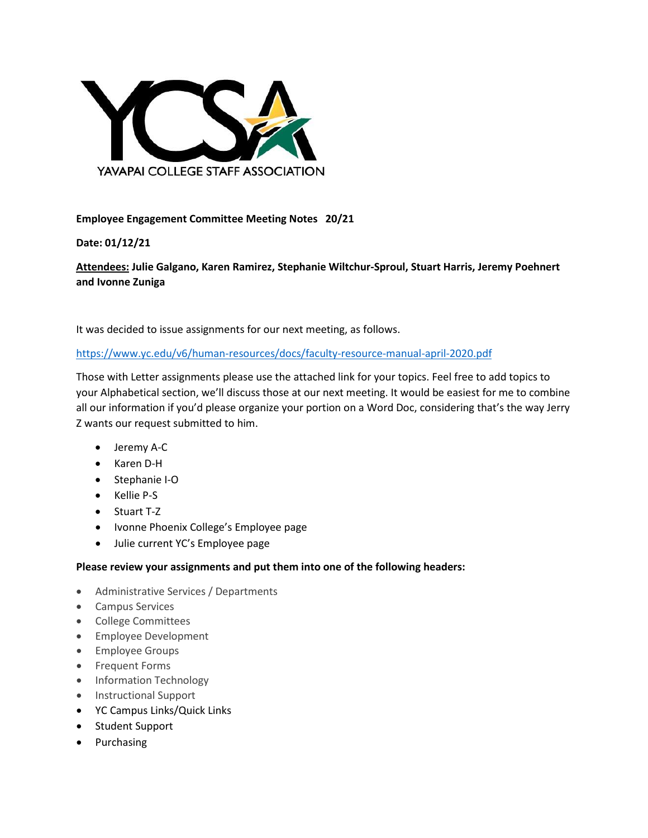

## **Employee Engagement Committee Meeting Notes 20/21**

## **Date: 01/12/21**

**Attendees: Julie Galgano, Karen Ramirez, Stephanie Wiltchur-Sproul, Stuart Harris, Jeremy Poehnert and Ivonne Zuniga**

It was decided to issue assignments for our next meeting, as follows.

<https://www.yc.edu/v6/human-resources/docs/faculty-resource-manual-april-2020.pdf>

Those with Letter assignments please use the attached link for your topics. Feel free to add topics to your Alphabetical section, we'll discuss those at our next meeting. It would be easiest for me to combine all our information if you'd please organize your portion on a Word Doc, considering that's the way Jerry Z wants our request submitted to him.

- Jeremy A-C
- Karen D-H
- Stephanie I-O
- Kellie P-S
- Stuart T-Z
- Ivonne Phoenix College's Employee page
- Julie current YC's Employee page

## **Please review your assignments and put them into one of the following headers:**

- Administrative Services / Departments
- Campus Services
- College Committees
- Employee Development
- Employee Groups
- Frequent Forms
- Information Technology
- Instructional Support
- YC Campus Links/Quick Links
- Student Support
- Purchasing